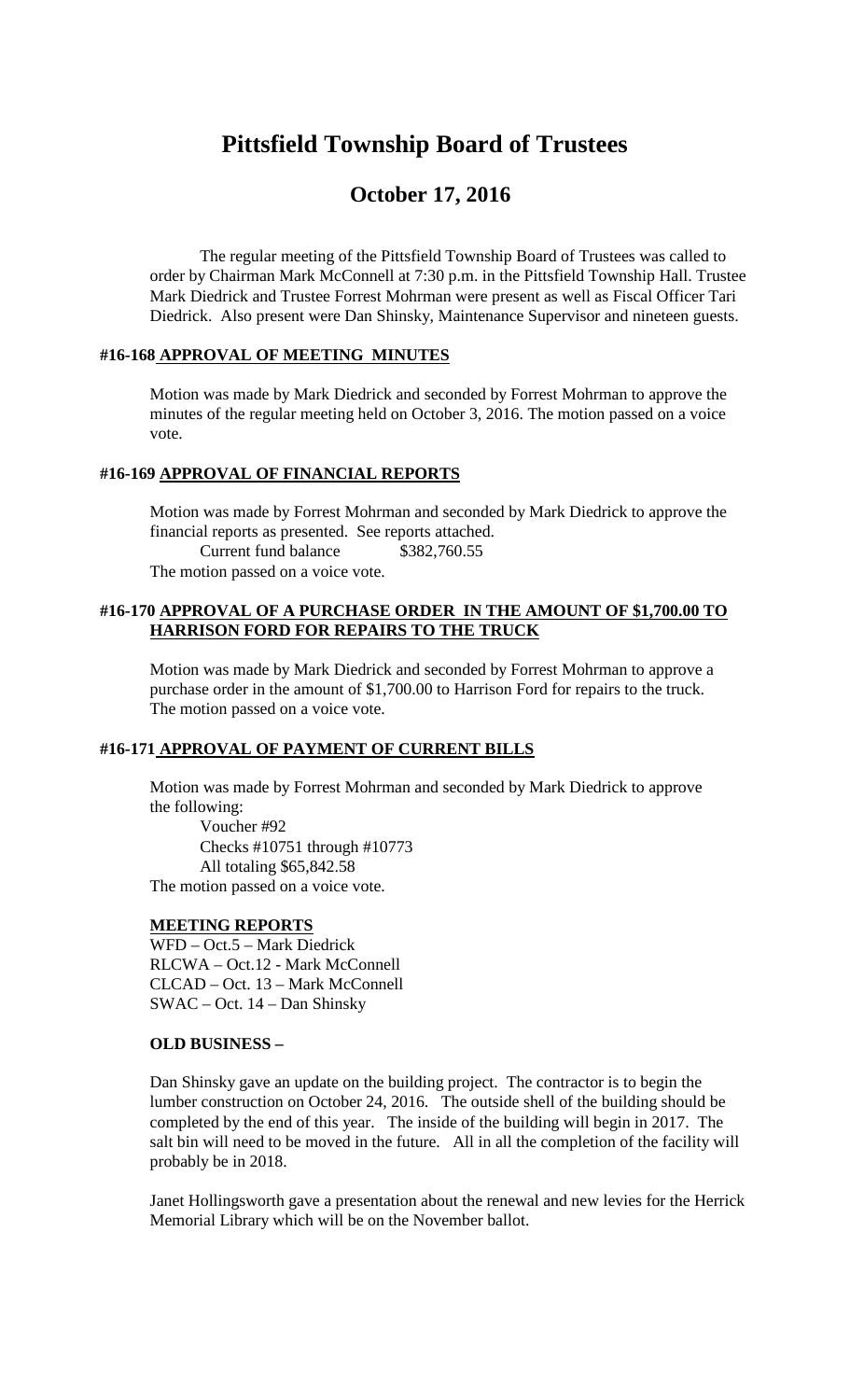# **Pittsfield Township Board of Trustees**

# **October 17, 2016**

The regular meeting of the Pittsfield Township Board of Trustees was called to order by Chairman Mark McConnell at 7:30 p.m. in the Pittsfield Township Hall. Trustee Mark Diedrick and Trustee Forrest Mohrman were present as well as Fiscal Officer Tari Diedrick. Also present were Dan Shinsky, Maintenance Supervisor and nineteen guests.

### **#16-168 APPROVAL OF MEETING MINUTES**

Motion was made by Mark Diedrick and seconded by Forrest Mohrman to approve the minutes of the regular meeting held on October 3, 2016. The motion passed on a voice vote.

# **#16-169 APPROVAL OF FINANCIAL REPORTS**

Motion was made by Forrest Mohrman and seconded by Mark Diedrick to approve the financial reports as presented. See reports attached. Current fund balance \$382,760.55

The motion passed on a voice vote.

### **#16-170 APPROVAL OF A PURCHASE ORDER IN THE AMOUNT OF \$1,700.00 TO HARRISON FORD FOR REPAIRS TO THE TRUCK**

Motion was made by Mark Diedrick and seconded by Forrest Mohrman to approve a purchase order in the amount of \$1,700.00 to Harrison Ford for repairs to the truck. The motion passed on a voice vote.

#### **#16-171 APPROVAL OF PAYMENT OF CURRENT BILLS**

Motion was made by Forrest Mohrman and seconded by Mark Diedrick to approve the following:

Voucher #92 Checks #10751 through #10773 All totaling \$65,842.58 The motion passed on a voice vote.

# **MEETING REPORTS**

WFD – Oct.5 – Mark Diedrick RLCWA – Oct.12 - Mark McConnell CLCAD – Oct. 13 – Mark McConnell SWAC – Oct. 14 – Dan Shinsky

### **OLD BUSINESS –**

Dan Shinsky gave an update on the building project. The contractor is to begin the lumber construction on October 24, 2016. The outside shell of the building should be completed by the end of this year. The inside of the building will begin in 2017. The salt bin will need to be moved in the future. All in all the completion of the facility will probably be in 2018.

Janet Hollingsworth gave a presentation about the renewal and new levies for the Herrick Memorial Library which will be on the November ballot.